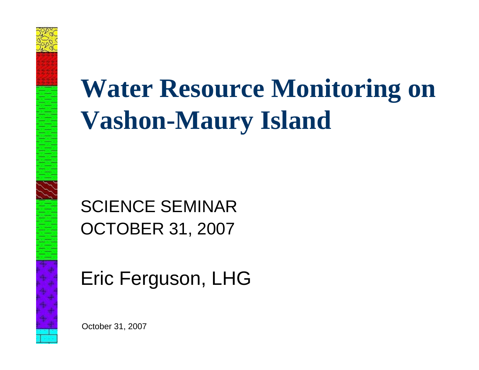

## **Water Resource Monitoring on Vashon-Maury Island**

SCIENCE SEMINAROCTOBER 31, 2007

Eric Ferguson, LHG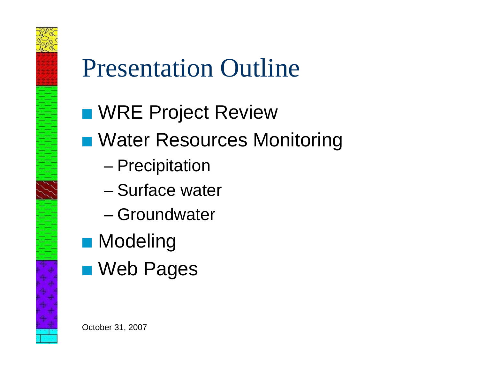

## Presentation Outline

- **N WRE Project Review**
- Water Resources Monitoring
	- –Precipitation
	- Surface water
	- Groundwater
- $\blacksquare$  Modeling
- **Neb Pages**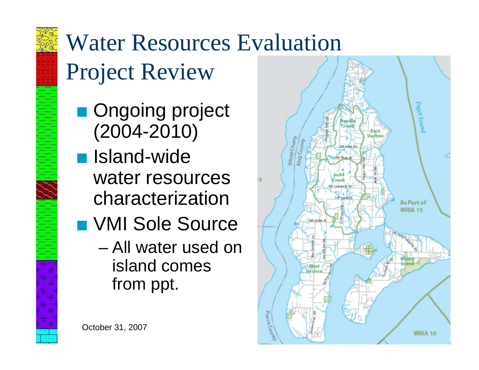

## Water Resources Evaluation

Project Review

- **Ongoing project** (2004-2010)
- **N** Island-wide water resources characterization
- **N VMI Sole Source** 
	- All water used on island comes from ppt.

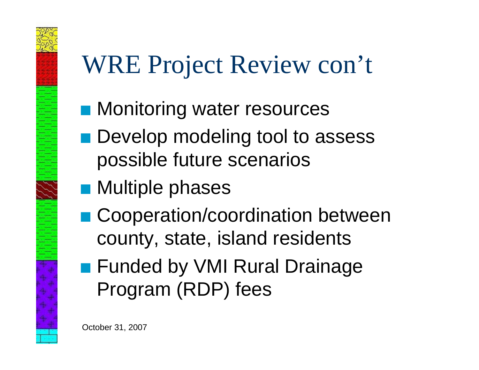# WRE Project Review con't

- **R Monitoring water resources**
- **Develop modeling tool to assess** possible future scenarios
- $\blacksquare$  Multiple phases
- Cooperation/coordination between county, state, island residents
- **Funded by VMI Rural Drainage** Program (RDP) fees

October 31, 2007

E PERMIT AVAILABLE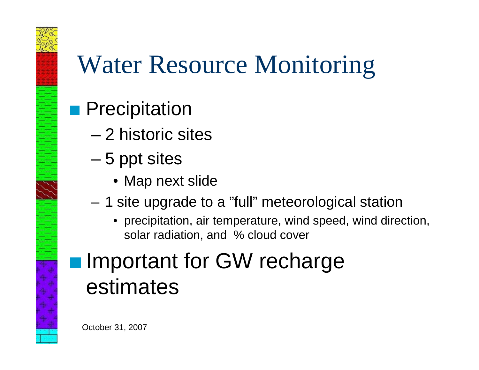# 22 Anii 11 Mei 11 Mei 11 Mei 11 Mei 11 Mei 11 Mei 11 Mei 11 Mei 11 Mei 11 Mei 11 Mei 11 Mei 11 Mei 11 Mei 11 M

## Water Resource Monitoring

## **Precipitation**

- 2 historic sites
- 5 ppt sites
	- Map next slide
- – 1 site upgrade to a "full" meteorological station
	- precipitation, air temperature, wind speed, wind direction, solar radiation, and % cloud cover

## **Important for GW recharge** estimates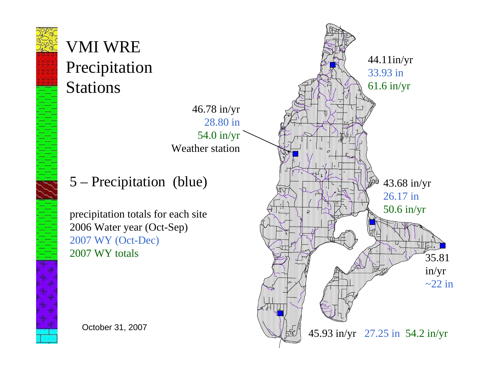

## VMI WRE Precipitation Stations



### 5 – Precipitation (blue)

precipitation totals for each site 2006 Water year (Oct-Sep) 2007 WY (Oct-Dec) 2007 WY totals

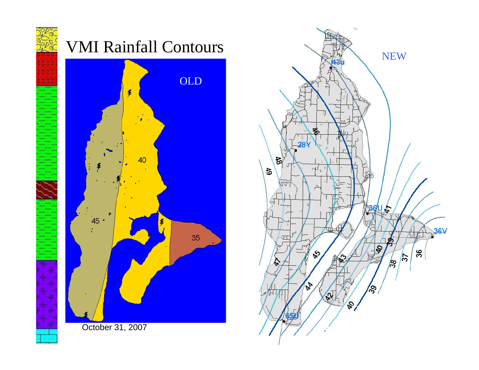





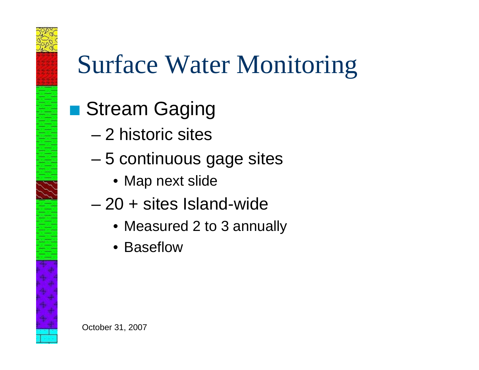

## Surface Water Monitoring

- **B** Stream Gaging
	- 2 historic sites
	- 5 continuous gage sites
		- Map next slide
	- 20 + sites Island-wide
		- Measured 2 to 3 annually
		- Baseflow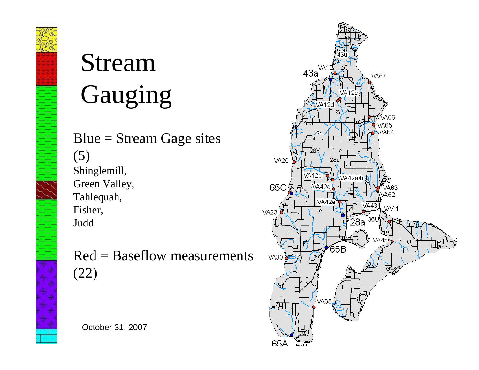

# Stream Gauging

 $Blue = Stream Gage sites$ (5) Shinglemill, Green Valley, Tahlequah, Fisher, Judd

Red = Baseflow measurements (22)

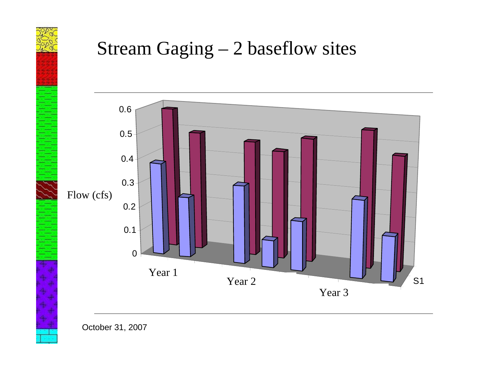

## Stream Gaging – 2 baseflow sites



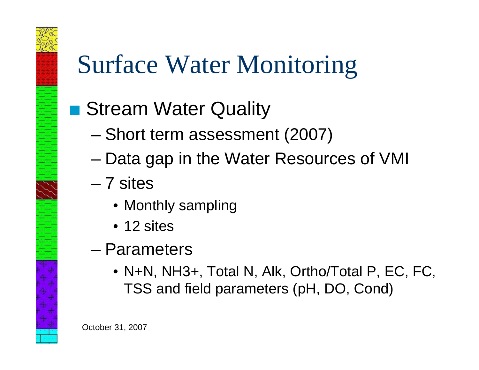# Surface Water Monitoring

## ■ Stream Water Quality

- Short term assessment (2007)
- Data gap in the Water Resources of VMI
- 7 sites

E HERE 1992 E BENEDIGTER

- Monthly sampling
- 12 sites
- Parameters
	- N+N, NH3+, Total N, Alk, Ortho/Total P, EC, FC, TSS and field parameters (pH, DO, Cond)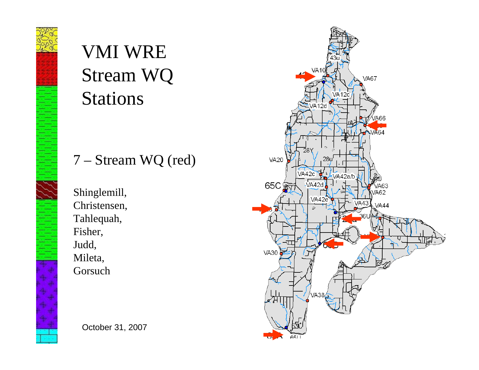## VMI WRE Stream WQ Stations

#### 7 – Stream WQ (red)

Shinglemill, Christensen, Tahlequah, Fisher, Judd, Mileta, Gorsuch

**VA67 VA20** VA42c VA42a/b 65C VA42d A63 /A62 **VA44 VA30** 651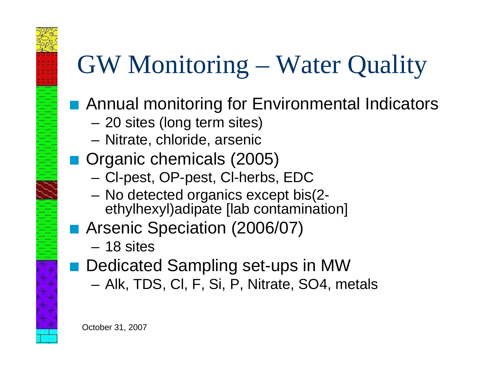# GW Monitoring – Water Quality

- Annual monitoring for Environmental Indicators
	- –20 sites (long term sites)
	- Nitrate, chloride, arsenic
- Organic chemicals (2005)
	- Cl-pest, OP-pest, Cl-herbs, EDC
	- No detected organics except bis(2 ethylhexyl)adipate [lab contamination]
- **Arsenic Speciation (2006/07)** 
	- 18 sites
- Dedicated Sampling set-ups in MW
	- Alk, TDS, Cl, F, Si, P, Nitrate, SO4, metals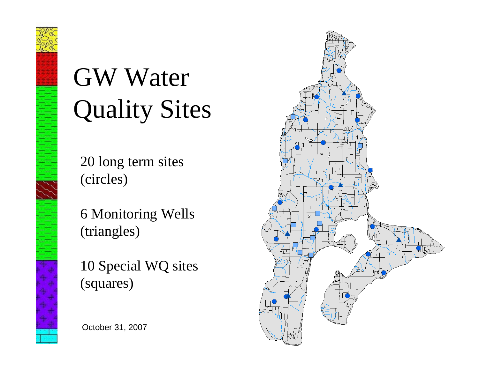# GW Water Quality Sites

20 long term sites (circles)

6 Monitoring Wells (triangles)

10 Special WQ sites (squares)

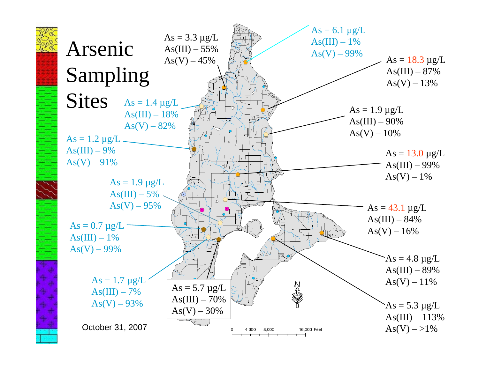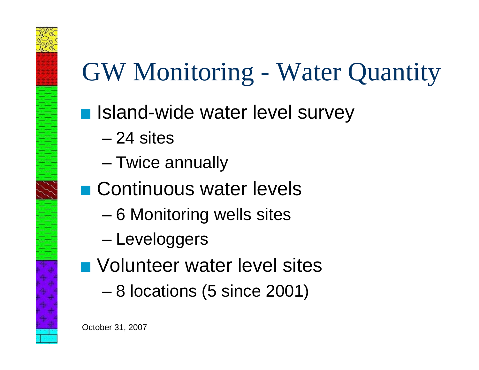# GW Monitoring - Water Quantity

- **B Island-wide water level survey** 
	- 24 sites
	- Twice annually
- **D** Continuous water levels
	- 6 Monitoring wells sites
	- –Leveloggers
- **N** Volunteer water level sites
	- 8 locations (5 since 2001)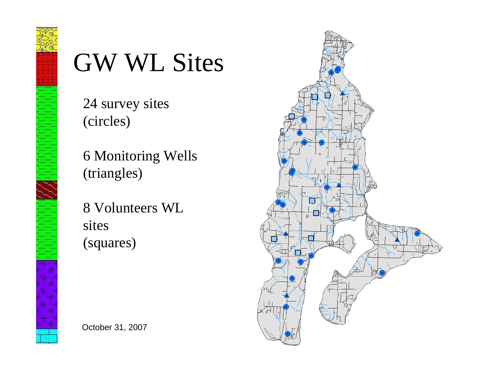

## GW WL Sites

24 survey sites (circles)

6 Monitoring Wells (triangles)

8 Volunteers WL sites (squares)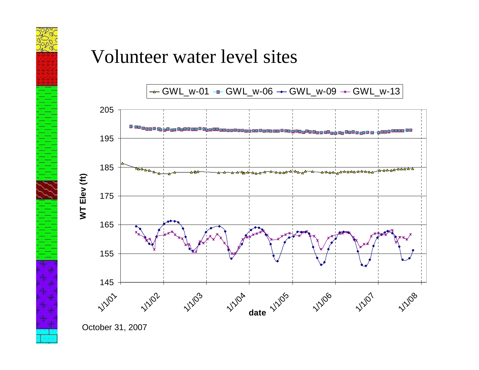

## Volunteer water level sites



October 31, 2007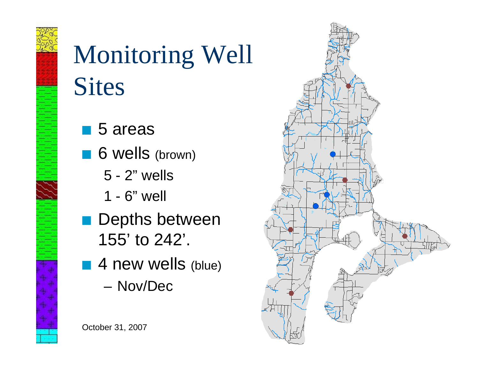# Monitoring Well **Sites**

- $\blacksquare$  5 areas
- 6 wells (brown)
	- 5 2" wells
	- 1 6" well
- $\blacksquare$  Depths between 155' to 242'.
- $\blacksquare$  4 new wells (blue)
	- Nov/Dec

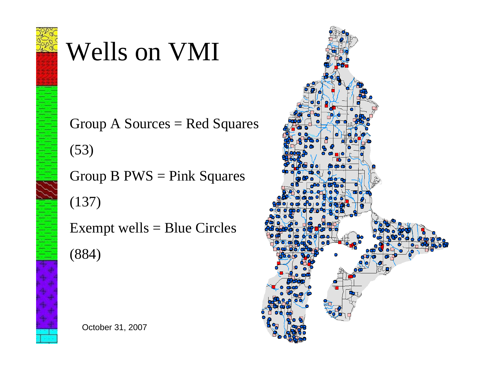

## Wells on VMI

Group  $A$  Sources = Red Squares

(53)

Group  $B$  PWS = Pink Squares

(137)

Exempt wells  $=$  Blue Circles

(884)



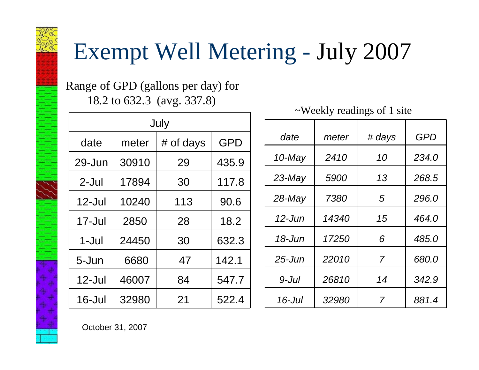## Exempt Well Metering - July 2007

Range of GPD (gallons per day) for 18.2 to 632.3 (avg. 337.8)

| July       |       |           |            |  |  |  |
|------------|-------|-----------|------------|--|--|--|
| date       | meter | # of days | <b>GPD</b> |  |  |  |
| $29 - Jun$ | 30910 | 29        | 435.9      |  |  |  |
| 2-Jul      | 17894 | 30        | 117.8      |  |  |  |
| $12$ -Jul  | 10240 | 113       | 90.6       |  |  |  |
| $17 -$ Jul | 2850  | 28        | 18.2       |  |  |  |
| 1-Jul      | 24450 | 30        | 632.3      |  |  |  |
| 5-Jun      | 6680  | 47        | 142.1      |  |  |  |
| $12$ -Jul  | 46007 | 84        | 547.7      |  |  |  |
| 16-Jul     | 32980 | 21        | 522.4      |  |  |  |
|            |       |           |            |  |  |  |

~Weekly readings of 1 site

| date       | meter        | # days | <b>GPD</b> |  |
|------------|--------------|--------|------------|--|
| 10-May     | 2410         | 10     | 234.0      |  |
| 23-May     | 5900         | 13     | 268.5      |  |
| $28$ -May  | 7380         | 5      | 296.0      |  |
| $12$ -Jun  | <i>14340</i> | 15     | 464.0      |  |
| $18 - Jun$ | <i>17250</i> | 6      | 485.0      |  |
| $25 - Jun$ | 22010        | 7      | 680.0      |  |
| 9-Jul      | 26810        | 14     | 342.9      |  |
| 16-Jul     | 32980        | 7      | 881.4      |  |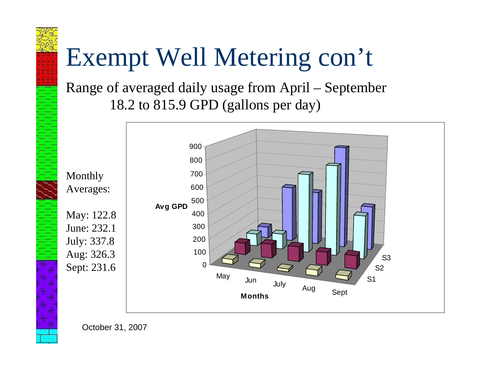# Exempt Well Metering con't

Range of averaged daily usage from April – September 18.2 to 815.9 GPD (gallons per day)



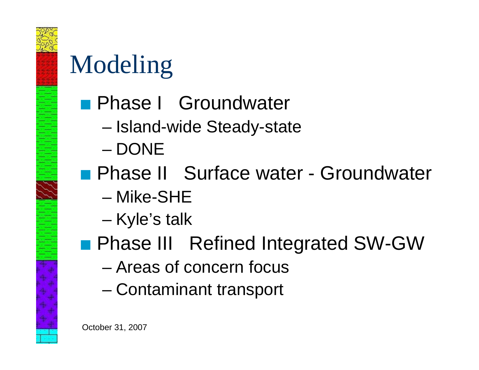

## Modeling

- **R** Phase I Groundwater
	- –Island-wide Steady-state
	- DONE
- **Reference II Surface water Groundwater** 
	- Mike-SHE
	- –Kyle's talk
- **Phase III Refined Integrated SW-GW** 
	- Areas of concern focus
	- –Contaminant transport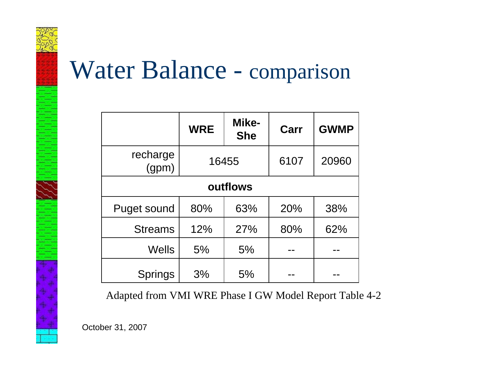

## Water Balance - comparison

|                    | <b>WRE</b> | Mike-<br><b>She</b> | Carr | <b>GWMP</b> |  |  |  |  |
|--------------------|------------|---------------------|------|-------------|--|--|--|--|
| recharge<br>(gpm)  | 16455      |                     | 6107 | 20960       |  |  |  |  |
| outflows           |            |                     |      |             |  |  |  |  |
| <b>Puget sound</b> | 80%        | 63%                 | 20%  | 38%         |  |  |  |  |
| <b>Streams</b>     | 12%        | 27%                 | 80%  | 62%         |  |  |  |  |
| <b>Wells</b>       | 5%         | 5%                  |      |             |  |  |  |  |
| <b>Springs</b>     | 3%         | 5%                  |      |             |  |  |  |  |

Adapted from VMI WRE Phase I GW Model Report Table 4-2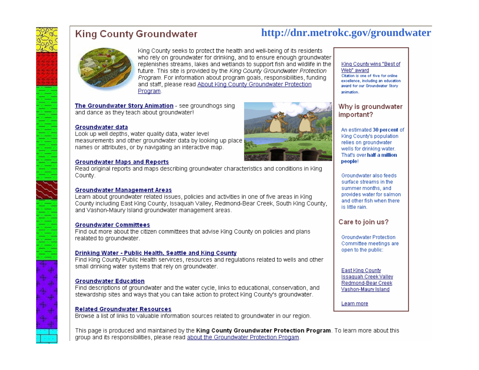

#### **King County Groundwater**

King County seeks to protect the health and well-being of its residents who rely on groundwater for drinking, and to ensure enough groundwater replenishes streams. lakes and wetlands to support fish and wildlife in the future. This site is provided by the King County Groundwater Protection Program. For information about program goals, responsibilities, funding and staff, please read About King County Groundwater Protection Program.

The Groundwater Story Animation - see groundhogs sing and dance as they teach about groundwater!

#### Groundwater data

Look up well depths, water quality data, water level measurements and other groundwater data by looking up place names or attributes, or by navigating an interactive map.

#### **Groundwater Maps and Reports**

Read original reports and maps describing groundwater characteristics and conditions in King County.

#### **Groundwater Management Areas**

Learn about groundwater related issues, policies and activities in one of five areas in King County including East King County, Issaguah Valley, Redmond-Bear Creek, South King County, and Vashon-Maury Island groundwater management areas.

#### **Groundwater Committees**

Find out more about the citizen committees that advise King County on policies and plans realated to groundwater.

#### Drinking Water - Public Health, Seattle and King County

Find King County Public Health servirces, resources and regulations related to wells and other small drinking water systems that rely on groundwater.

#### **Groundwater Education**

Find descriptions of groundwater and the water cycle, links to educational, conservation, and stewardship sites and ways that you can take action to protect King County's groundwater.

#### **Related Groundwater Resources**

Browse a list of links to valuable information sources related to groundwater in our region.

This page is produced and maintained by the King County Groundwater Protection Program. To learn more about this group and its responsibilities, please read about the Groundwater Protection Progam.



#### King County wins "Best of

**http://dnr.metrokc.gov/groundwater**

Web" award Citation is one of five for online excellence, including an education award for our Groundwater Story animation.

#### Why is groundwater important?

An estimated 30 percent of King County's population relies on groundwater wells for drinking water. That's over half a million people!

Groundwater also feeds surface streams in the summer months, and provides water for salmon and other fish when there is little rain.

#### Care to join us?

Groundwater Protection Committee meetings are open to the public:

East King County **Issaquah Creek Vallev** Redmond-Bear Creek Vashon-Maury Island

Learn more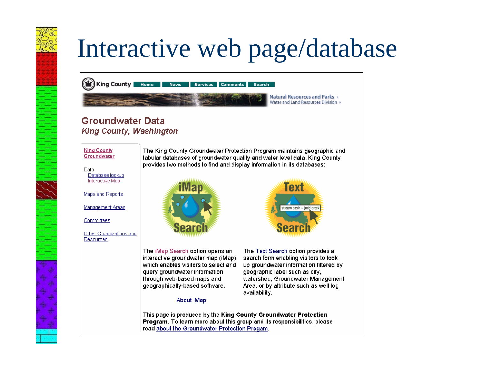# Interactive web page/database

King County Home **News Services Comments Search** 

**Natural Resources and Parks** » Water and Land Resources Division »

#### **Groundwater Data King County, Washington**

**King County** Groundwater

Data Database lookup Interactive Map

Maps and Reports

Management Areas

Committees

Other Organizations and Resources

The King County Groundwater Protection Program maintains geographic and tabular databases of groundwater quality and water level data. King County provides two methods to find and display information in its databases:



The iMap Search option opens an interactive groundwater map (iMap) which enables visitors to select and query groundwater information through web-based maps and geographically-based software.



The Text Search option provides a search form enabling visitors to look up groundwater information filtered by geographic label such as city. watershed, Groundwater Management Area, or by attribute such as well log availability.

#### About iMap

This page is produced by the King County Groundwater Protection October 31, 2007<br>October 31, 2007